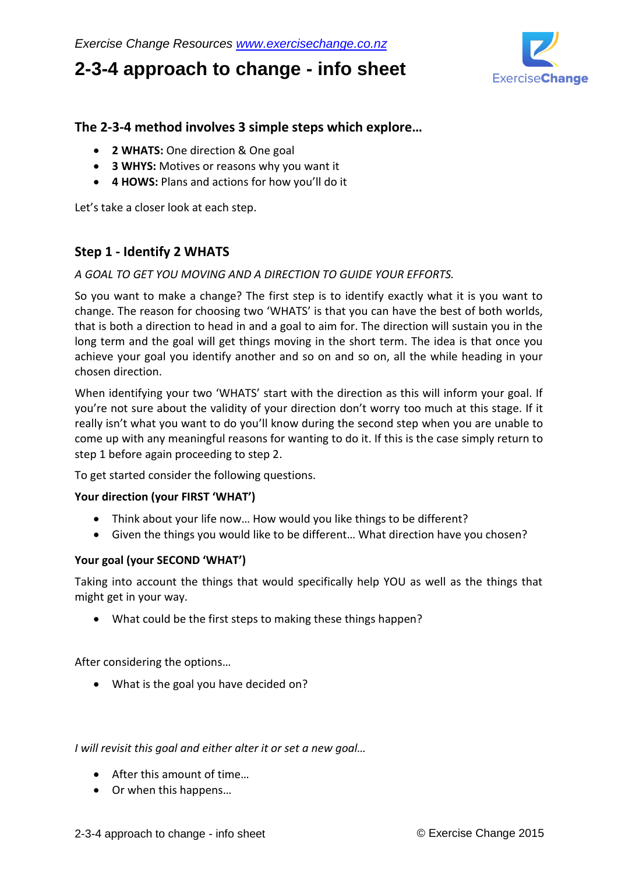# **2-3-4 approach to change - info sheet**



# **The 2-3-4 method involves 3 simple steps which explore…**

- **2 WHATS:** One direction & One goal
- **3 WHYS:** Motives or reasons why you want it
- **4 HOWS:** Plans and actions for how you'll do it

Let's take a closer look at each step.

## **Step 1 - Identify 2 WHATS**

## *A GOAL TO GET YOU MOVING AND A DIRECTION TO GUIDE YOUR EFFORTS.*

So you want to make a change? The first step is to identify exactly what it is you want to change. The reason for choosing two 'WHATS' is that you can have the best of both worlds, that is both a direction to head in and a goal to aim for. The direction will sustain you in the long term and the goal will get things moving in the short term. The idea is that once you achieve your goal you identify another and so on and so on, all the while heading in your chosen direction.

When identifying your two 'WHATS' start with the direction as this will inform your goal. If you're not sure about the validity of your direction don't worry too much at this stage. If it really isn't what you want to do you'll know during the second step when you are unable to come up with any meaningful reasons for wanting to do it. If this is the case simply return to step 1 before again proceeding to step 2.

To get started consider the following questions.

## **Your direction (your FIRST 'WHAT')**

- Think about your life now… How would you like things to be different?
- Given the things you would like to be different… What direction have you chosen?

## **Your goal (your SECOND 'WHAT')**

Taking into account the things that would specifically help YOU as well as the things that might get in your way.

What could be the first steps to making these things happen?

After considering the options…

• What is the goal you have decided on?

#### *I will revisit this goal and either alter it or set a new goal…*

- After this amount of time…
- Or when this happens…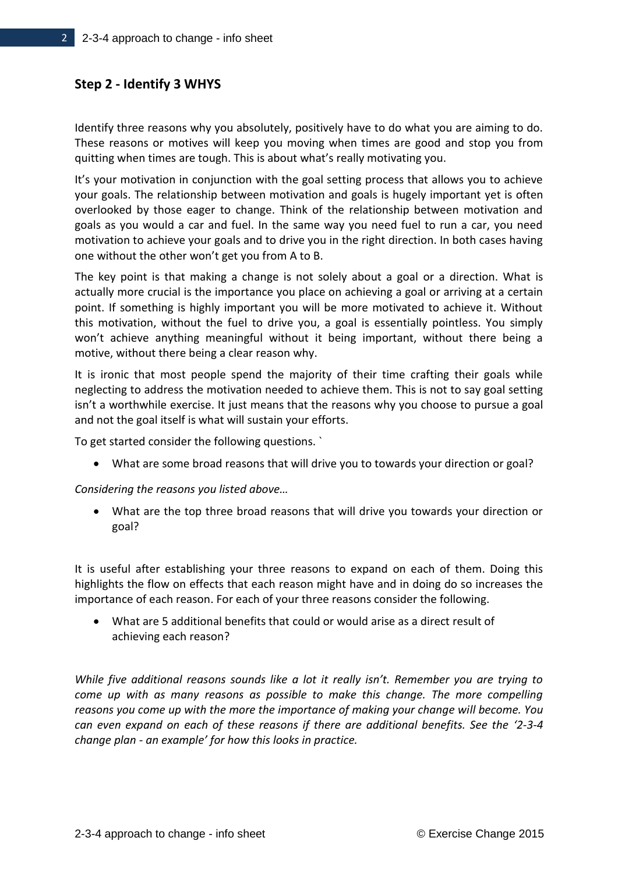## **Step 2 - Identify 3 WHYS**

Identify three reasons why you absolutely, positively have to do what you are aiming to do. These reasons or motives will keep you moving when times are good and stop you from quitting when times are tough. This is about what's really motivating you.

It's your motivation in conjunction with the goal setting process that allows you to achieve your goals. The relationship between motivation and goals is hugely important yet is often overlooked by those eager to change. Think of the relationship between motivation and goals as you would a car and fuel. In the same way you need fuel to run a car, you need motivation to achieve your goals and to drive you in the right direction. In both cases having one without the other won't get you from A to B.

The key point is that making a change is not solely about a goal or a direction. What is actually more crucial is the importance you place on achieving a goal or arriving at a certain point. If something is highly important you will be more motivated to achieve it. Without this motivation, without the fuel to drive you, a goal is essentially pointless. You simply won't achieve anything meaningful without it being important, without there being a motive, without there being a clear reason why.

It is ironic that most people spend the majority of their time crafting their goals while neglecting to address the motivation needed to achieve them. This is not to say goal setting isn't a worthwhile exercise. It just means that the reasons why you choose to pursue a goal and not the goal itself is what will sustain your efforts.

To get started consider the following questions. `

What are some broad reasons that will drive you to towards your direction or goal?

*Considering the reasons you listed above…*

 What are the top three broad reasons that will drive you towards your direction or goal?

It is useful after establishing your three reasons to expand on each of them. Doing this highlights the flow on effects that each reason might have and in doing do so increases the importance of each reason. For each of your three reasons consider the following.

 What are 5 additional benefits that could or would arise as a direct result of achieving each reason?

*While five additional reasons sounds like a lot it really isn't. Remember you are trying to come up with as many reasons as possible to make this change. The more compelling reasons you come up with the more the importance of making your change will become. You can even expand on each of these reasons if there are additional benefits. See the '2-3-4 change plan - an example' for how this looks in practice.*